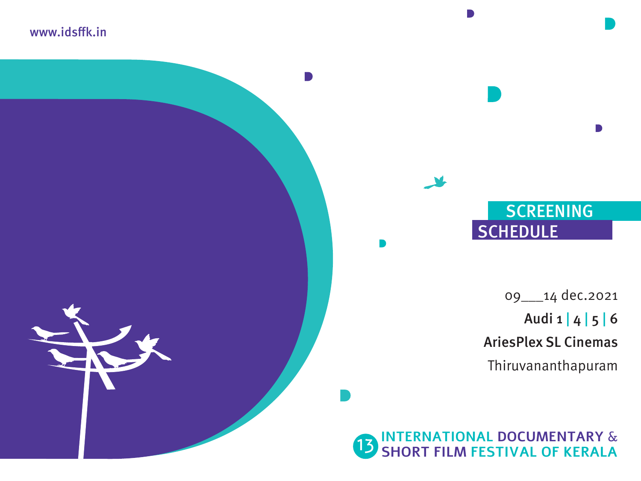

## SCHEDULE **SCREENING**

09\_\_\_14 dec.2021 Audi 1 | 4 | 5 | 6 AriesPlex SL Cinemas Thiruvananthapuram

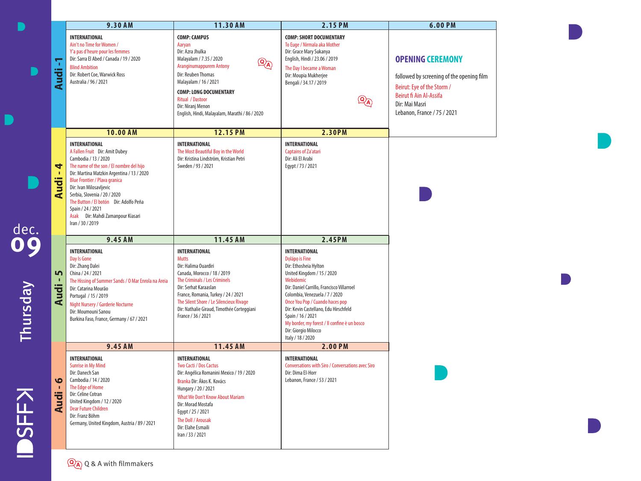| <b>INTERNATIONAL</b><br><b>COMP: CAMPUS</b><br><b>COMP: SHORT DOCUMENTARY</b><br>Ain't no Time for Women /<br>To Euge / Nirmala aka Mother<br>Aaryan<br>Y'a pas d'heure pour les femmes<br>Dir: Azra Jhulka<br>Dir: Grace Mary Sukanya<br>English, Hindi / 23.06 / 2019<br><b>OPENING CEREMONY</b><br>Dir: Sarra El Abed / Canada / 19 / 2020<br>Malayalam / 7.35 / 2020<br>π<br>$\mathbb{Q}_{\overline{A}}$<br><b>Aranginumappurem Antony</b><br><b>Blind Ambition</b><br>The Day I became a Woman<br><b>Audi</b><br>Dir: Robert Coe, Warwick Ross<br>Dir: Reuben Thomas<br>Dir: Moupia Mukherjee<br>Australia / 96 / 2021<br>Malayalam / 16 / 2021<br>Bengali / 34.17 / 2019<br>Beirut: Eye of the Storm /<br><b>COMP: LONG DOCUMENTARY</b><br>Beirut fi Ain Al-Assifa<br><b>Ritual / Dastoor</b><br>$\mathbb{Q}_{\overline{A}}$<br>Dir: Mai Masri<br>Dir: Niranj Menon<br>Lebanon, France / 75 / 2021<br>English, Hindi, Malayalam, Marathi / 86 / 2020<br>2.30PM<br><b>10.00 AM</b><br>12.15 PM<br><b>INTERNATIONAL</b><br><b>INTERNATIONAL</b><br><b>INTERNATIONAL</b><br>A Fallen Fruit Dir: Amit Dubey<br>The Most Beautiful Boy in the World<br><b>Captains of Za'atari</b><br>Cambodia / 13 / 2020<br>Dir: Kristina Lindström, Kristian Petri<br>Dir: Ali El Arabi<br>The name of the son / El nombre del hijo<br>Sweden / 93 / 2021<br>Egypt / 73 / 2021<br>4<br>Dir: Martina Matzkin Argentina / 13 / 2020<br>- 11<br><b>Audi</b><br><b>Blue Frontier / Plava granica</b><br>Dir: Ivan Milosavljevic<br>Serbia, Slovenia / 20 / 2020<br>The Button / El botón Dir: Adolfo Peña<br>Spain / 24 / 2021<br>Asak Dir: Mahdi Zamanpour Kiasari<br>Iran / 30 / 2019<br>dec.<br>9.45 AM<br>11.45 AM<br>2.45PM<br><b>INTERNATIONAL</b><br><b>INTERNATIONAL</b><br><b>INTERNATIONAL</b><br>Day Is Gone<br><b>Mutts</b><br>Dolápo is Fine<br>Dir: Zhang Dalei<br>Dir: Halima Ouardiri<br>Dir: Ethosheia Hylton<br>China / 24 / 2021<br>Canada, Morocco / 18 / 2019<br>United Kingdom / 15 / 2020<br>5<br>Webidemic<br>The Criminals / Les Criminels<br>- 11<br>The Hissing of Summer Sands / O Mar Enrola na Areia<br><b>Audi</b><br>Dir: Serhat Karaaslan<br>Dir: Daniel Carrillo, Francisco Villarroel<br>Dir: Catarina Mourão<br>France, Romania, Turkey / 24 / 2021<br>Colombia, Venezuela / 7 / 2020<br>Portugal / 15 / 2019<br>The Silent Shore / Le Silencieux Rivage<br>Once You Pop / Cuando haces pop |          | 9.30 AM                           | 11.30 AM                                   | 2.15 PM | 6.00 PM                                   |
|-----------------------------------------------------------------------------------------------------------------------------------------------------------------------------------------------------------------------------------------------------------------------------------------------------------------------------------------------------------------------------------------------------------------------------------------------------------------------------------------------------------------------------------------------------------------------------------------------------------------------------------------------------------------------------------------------------------------------------------------------------------------------------------------------------------------------------------------------------------------------------------------------------------------------------------------------------------------------------------------------------------------------------------------------------------------------------------------------------------------------------------------------------------------------------------------------------------------------------------------------------------------------------------------------------------------------------------------------------------------------------------------------------------------------------------------------------------------------------------------------------------------------------------------------------------------------------------------------------------------------------------------------------------------------------------------------------------------------------------------------------------------------------------------------------------------------------------------------------------------------------------------------------------------------------------------------------------------------------------------------------------------------------------------------------------------------------------------------------------------------------------------------------------------------------------------------------------------------------------------------------------------------------------------------------------------------------------------------------------------------------------------------------------------|----------|-----------------------------------|--------------------------------------------|---------|-------------------------------------------|
|                                                                                                                                                                                                                                                                                                                                                                                                                                                                                                                                                                                                                                                                                                                                                                                                                                                                                                                                                                                                                                                                                                                                                                                                                                                                                                                                                                                                                                                                                                                                                                                                                                                                                                                                                                                                                                                                                                                                                                                                                                                                                                                                                                                                                                                                                                                                                                                                                 |          |                                   |                                            |         | followed by screening of the opening film |
|                                                                                                                                                                                                                                                                                                                                                                                                                                                                                                                                                                                                                                                                                                                                                                                                                                                                                                                                                                                                                                                                                                                                                                                                                                                                                                                                                                                                                                                                                                                                                                                                                                                                                                                                                                                                                                                                                                                                                                                                                                                                                                                                                                                                                                                                                                                                                                                                                 |          |                                   |                                            |         |                                           |
|                                                                                                                                                                                                                                                                                                                                                                                                                                                                                                                                                                                                                                                                                                                                                                                                                                                                                                                                                                                                                                                                                                                                                                                                                                                                                                                                                                                                                                                                                                                                                                                                                                                                                                                                                                                                                                                                                                                                                                                                                                                                                                                                                                                                                                                                                                                                                                                                                 |          |                                   |                                            |         |                                           |
|                                                                                                                                                                                                                                                                                                                                                                                                                                                                                                                                                                                                                                                                                                                                                                                                                                                                                                                                                                                                                                                                                                                                                                                                                                                                                                                                                                                                                                                                                                                                                                                                                                                                                                                                                                                                                                                                                                                                                                                                                                                                                                                                                                                                                                                                                                                                                                                                                 |          |                                   |                                            |         |                                           |
| Dir: Kevin Castellano, Edu Hirschfeld<br>Dir: Moumouni Sanou<br>France / 36 / 2021<br>Spain / 16 / 2021<br>Burkina Faso, France, Germany / 67 / 2021<br>My border, my forest / Il confine è un bosco<br>Dir: Giorgio Milocco<br>Italy / 18 / 2020                                                                                                                                                                                                                                                                                                                                                                                                                                                                                                                                                                                                                                                                                                                                                                                                                                                                                                                                                                                                                                                                                                                                                                                                                                                                                                                                                                                                                                                                                                                                                                                                                                                                                                                                                                                                                                                                                                                                                                                                                                                                                                                                                               | Thursday | Night Nursery / Garderie Nocturne | Dir: Nathalie Giraud, Timothée Corteggiani |         |                                           |
| 9.45 AM<br>11.45 AM<br><b>2.00 PM</b>                                                                                                                                                                                                                                                                                                                                                                                                                                                                                                                                                                                                                                                                                                                                                                                                                                                                                                                                                                                                                                                                                                                                                                                                                                                                                                                                                                                                                                                                                                                                                                                                                                                                                                                                                                                                                                                                                                                                                                                                                                                                                                                                                                                                                                                                                                                                                                           |          |                                   |                                            |         |                                           |
| <b>INTERNATIONAL</b><br><b>INTERNATIONAL</b><br><b>INTERNATIONAL</b><br>Conversations with Siro / Conversations avec Siro<br><b>Sunrise in My Mind</b><br>Two Cacti / Dos Cactus<br>Dir: Danech San<br>Dir: Angélica Romanini Mexico / 19 / 2020<br>Dir: Dima El-Horr<br>Cambodia / 14 / 2020<br>Lebanon, France / 53 / 2021<br>O.<br>Branka Dir: Ákos K. Kovács<br>The Edge of Home<br>÷.<br>Hungary / 20 / 2021<br><b>Audi</b><br>Dir: Celine Cotran<br><b>What We Don't Know About Mariam</b><br>United Kingdom / 12 / 2020<br><b>DSFF</b><br>Dir: Morad Mostafa<br><b>Dear Future Children</b><br>Egypt / 25 / 2021<br>Dir: Franz Böhm<br>The Doll / Arousak<br>Germany, United Kingdom, Austria / 89 / 2021<br>Dir: Elahe Esmaili<br>Iran / 33 / 2021                                                                                                                                                                                                                                                                                                                                                                                                                                                                                                                                                                                                                                                                                                                                                                                                                                                                                                                                                                                                                                                                                                                                                                                                                                                                                                                                                                                                                                                                                                                                                                                                                                                      |          |                                   |                                            |         |                                           |

 $\mathcal{Q}_A$  Q & A with filmmakers

 $\begin{array}{c} \hline \end{array}$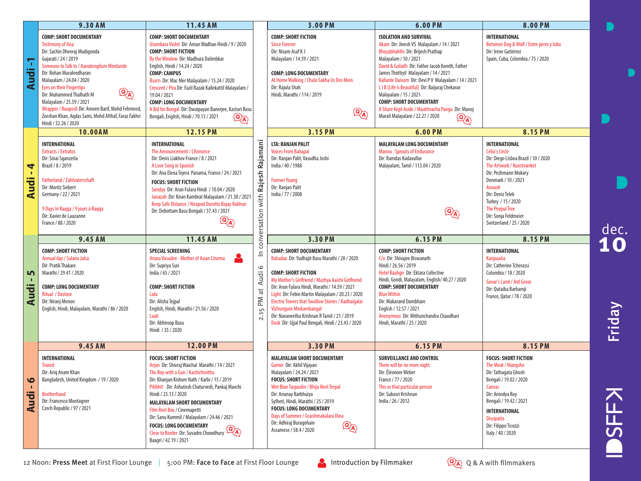| <b>9.30 AM</b>                                                                                                                                                                                                                                                                                                                                                                                                                                                                             | 11.45 AM                                                                                                                                                                                                                                                                                                                                                                                                                                                                                                        |                                                                        | 3.00 PM                                                                                                                                                                                                                                                                                                                                                                                    | 6.00 PM                                                                                                                                                                                                                                                                                                                                                                                                                                                                                                                            | 8.00 PM                                                                                                                                                                                                                                                                                            |                                        |  |  |  |  |  |  |  |                                                                                                                                                                                                                                                                                                                                                                                                                                                                  |                                                                                                                                                                                                                                                                                                                                                                 |                                                                                                                                                                         |        |
|--------------------------------------------------------------------------------------------------------------------------------------------------------------------------------------------------------------------------------------------------------------------------------------------------------------------------------------------------------------------------------------------------------------------------------------------------------------------------------------------|-----------------------------------------------------------------------------------------------------------------------------------------------------------------------------------------------------------------------------------------------------------------------------------------------------------------------------------------------------------------------------------------------------------------------------------------------------------------------------------------------------------------|------------------------------------------------------------------------|--------------------------------------------------------------------------------------------------------------------------------------------------------------------------------------------------------------------------------------------------------------------------------------------------------------------------------------------------------------------------------------------|------------------------------------------------------------------------------------------------------------------------------------------------------------------------------------------------------------------------------------------------------------------------------------------------------------------------------------------------------------------------------------------------------------------------------------------------------------------------------------------------------------------------------------|----------------------------------------------------------------------------------------------------------------------------------------------------------------------------------------------------------------------------------------------------------------------------------------------------|----------------------------------------|--|--|--|--|--|--|--|------------------------------------------------------------------------------------------------------------------------------------------------------------------------------------------------------------------------------------------------------------------------------------------------------------------------------------------------------------------------------------------------------------------------------------------------------------------|-----------------------------------------------------------------------------------------------------------------------------------------------------------------------------------------------------------------------------------------------------------------------------------------------------------------------------------------------------------------|-------------------------------------------------------------------------------------------------------------------------------------------------------------------------|--------|
| <b>COMP: SHORT DOCUMENTARY</b><br><b>Testimony of Ana</b><br>Dir: Sachin Dheeraj Mudigonda<br>Gujarati / 24 / 2019<br>Someone to Talk to / Aarodengilum Mindande<br>Dir: Rohan Muraleedharan<br>Malayalam / 24.04 / 2020<br><b>Eyes on their Fingertips</b><br>$\mathcal{Q}_{\!\mathbf{A}\!)}$<br>Dir: Muhammed Thalhath M<br>Malayalam / 25.59 / 2021<br>Wrapper / Ruuposh Dir: Ameen Barif, Mohd Fehmeed,<br>Zeeshan Khan, Agdas Sami, Mohd Althaf, Faraz Fakhri<br>Hindi / 32.26 / 2020 | <b>COMP: SHORT DOCUMENTARY</b><br>Usambara Violet Dir: Aman Wadhan Hindi / 9 / 2020<br><b>COMP: SHORT FICTION</b><br>By the Window Dir: Madhura Dalimbkar<br>English, Hindi / 14.24 / 2020<br><b>COMP: CAMPUS</b><br>Burn Dir: Mac Mer Malayalam / 15.24 / 2020<br>Crescent / Pira Dir: Fazil Razak Kallekattil Malayalam /<br>19.04 / 2021<br><b>COMP: LONG DOCUMENTARY</b><br>A Bid for Bengal Dir: Dwaipayan Banerjee, Kasturi Basu<br>Bengali, English, Hindi / 70.13 / 2021<br>$\mathbb{Q}_{\overline{A}}$ |                                                                        | <b>COMP: SHORT FICTION</b><br><b>Since Forever</b><br>Dir: Nisam Asaf K J<br>Malayalam / 14.59 / 2021<br><b>COMP: LONG DOCUMENTARY</b><br>At Home Walking / Chalo Sakha Us Des Mein<br>Dir: Rajula Shah<br>Hindi, Marathi / 114 / 2019<br>$\mathbb{Q}_{\overline{A}}$                                                                                                                      | <b>ISOLATION AND SURVIVAL</b><br>Akam Dir: Jinesh VS Malayalam / 14 / 2021<br>Bhayabhakthi Dir: Brijesh Prathap<br>Malayalam / 10 / 2021<br>David & Goliath Dir: Father Jacob Koroth, Father<br>James Thottiyil Malayalam / 14 / 2021<br>Kallante Daivam Dir: Devi P V Malayalam / 14 / 2021<br>LIB (Life is Beautiful) Dir: Baijuraj Chekavar<br>Malayalam / 15 / 2021<br><b>COMP: SHORT DOCUMENTARY</b><br>A Share Kept Aside / Maattivacha Pangu Dir: Manoj<br>Murali Malayalam / 22.27 / 2020<br>$\mathbb{Q}_{\!\!\mathbb{A}}$ | <b>INTERNATIONAL</b><br>Between Dog & Wolf / Entre perro y lobo<br>Dir: Irene Gutiérrez<br>Spain, Cuba, Colombia / 75 / 2020                                                                                                                                                                       |                                        |  |  |  |  |  |  |  |                                                                                                                                                                                                                                                                                                                                                                                                                                                                  |                                                                                                                                                                                                                                                                                                                                                                 |                                                                                                                                                                         |        |
| 10.00AM                                                                                                                                                                                                                                                                                                                                                                                                                                                                                    | <b>12.15 PM</b>                                                                                                                                                                                                                                                                                                                                                                                                                                                                                                 |                                                                        | 3.15 PM                                                                                                                                                                                                                                                                                                                                                                                    | 6.00 PM                                                                                                                                                                                                                                                                                                                                                                                                                                                                                                                            | 8.15 PM                                                                                                                                                                                                                                                                                            |                                        |  |  |  |  |  |  |  |                                                                                                                                                                                                                                                                                                                                                                                                                                                                  |                                                                                                                                                                                                                                                                                                                                                                 |                                                                                                                                                                         |        |
| <b>INTERNATIONAL</b><br><b>Extracts / Extratos</b><br>Dir: Sinai Sganzerla<br>Brazil / 8 / 2019<br><b>Fatherland / Zahlvaterschaft</b><br>Dir: Moritz Siebert<br>Germany / 22 / 2021<br>9 Days In Ragga / 9 jours à Ragga<br>Dir: Xavier de Lauzanne<br>France / 88 / 2020                                                                                                                                                                                                                 | <b>INTERNATIONAL</b><br>The Announcement / L'Annonce<br>Dir: Denis Liakhov France / 8 / 2021<br>A Love Song in Spanish<br>Dir: Ana Elena Tejera Panama, France / 24 / 2021<br><b>FOCUS: SHORT FICTION</b><br>Sunday Dir: Arun Fulara Hindi / 10.04 / 2020<br>Janazah Dir: Kiran Kambrat Malayalam / 21.30 / 2021<br>Keep Safe Distance / Nirapod Durotto Bojay Rakhun<br>Dir: Debottam Basu Bengali / 37.43 / 2021<br>$\mathbb{Q}_{\overline{A}}$                                                               | Rajamani<br>with Rajesh                                                | <b>LTA: RANJAN PALIT</b><br><b>Voices From Baliapal</b><br>Dir: Ranjan Palit, Vasudha Joshi<br>India / 40 / 1988<br><b>Forever Young</b><br>Dir: Ranian Palit<br>India / 77 / 2008                                                                                                                                                                                                         | <b>MALAYALAM LONG DOCUMENTARY</b><br><b>Mannu: Sprouts of Endurance</b><br>Dir: Ramdas Kadavallur<br>Malayalam, Tamil / 113.04 / 2020<br>$\mathcal{Q}_{\!\mathbf{A}\!)}$                                                                                                                                                                                                                                                                                                                                                           | <b>INTERNATIONAL</b><br>Célio's Circle<br>Dir: Diego Lisboa Brazil / 10 / 2020<br>The Artwork / Kunstværket<br>Dir: Pezhmann Mokary<br>Denmark / 10 / 2021<br><b>Anoush</b><br>Dir: Deniz Telek<br>Turkey / 15 / 2020<br><b>The Peepul Tree</b><br>Dir: Sonja Feldmeier<br>Switzerland / 25 / 2020 | dec.                                   |  |  |  |  |  |  |  |                                                                                                                                                                                                                                                                                                                                                                                                                                                                  |                                                                                                                                                                                                                                                                                                                                                                 |                                                                                                                                                                         |        |
| 9.45 AM                                                                                                                                                                                                                                                                                                                                                                                                                                                                                    | 11.45 AM                                                                                                                                                                                                                                                                                                                                                                                                                                                                                                        |                                                                        | 3.30 PM                                                                                                                                                                                                                                                                                                                                                                                    | 6.15 PM                                                                                                                                                                                                                                                                                                                                                                                                                                                                                                                            | 8.15 PM                                                                                                                                                                                                                                                                                            | 10                                     |  |  |  |  |  |  |  |                                                                                                                                                                                                                                                                                                                                                                                                                                                                  |                                                                                                                                                                                                                                                                                                                                                                 |                                                                                                                                                                         |        |
| <b>COMP: SHORT FICTION</b><br>Annual day / Salana Jalsa<br>Dir: Pratik Thakare<br>Marathi / 29.41 / 2020<br><b>COMP: LONG DOCUMENTARY</b><br><b>Ritual / Dastoor</b><br>Dir: Niranj Menon<br>English, Hindi, Malayalam, Marathi / 86 / 2020                                                                                                                                                                                                                                                | <b>SPECIAL SCREENING</b><br>Aruna Vasudev - Mother of Asian Cinema<br>Dir: Supriya Suri<br>India / 65 / 2021<br><b>COMP: SHORT FICTION</b><br>Lata<br>Dir: Alisha Tejpal<br>English, Hindi, Marathi / 21.56 / 2020<br>Laali<br>Dir: Abhiroop Basu<br>Hindi / 35 / 2020                                                                                                                                                                                                                                          | $\equiv$<br>$\circ$<br>Audi<br>$\vec{a}$<br>$\mathbb{M}$<br>$\ddot{1}$ |                                                                                                                                                                                                                                                                                                                                                                                            |                                                                                                                                                                                                                                                                                                                                                                                                                                                                                                                                    |                                                                                                                                                                                                                                                                                                    |                                        |  |  |  |  |  |  |  | <b>COMP: SHORT DOCUMENTARY</b><br>Kalsubai Dir: Yudhajit Basu Marathi / 20 / 2020<br><b>COMP: SHORT FICTION</b><br>My Mother's Girlfriend / Mazhya Aaichi Girlfriend<br>Dir: Arun Fulara Hindi, Marathi / 14.59 / 2021<br>Light Dir: Febin Martin Malayalam / 20.23 / 2020<br>Electric Towers that Swallow Stories / Kadhaigalai<br>Vizhungum Minkambangal<br>Dir: Navaneetha Krishnan R Tamil / 21 / 2019<br>Dusk Dir: Ujjal Paul Bengali, Hindi / 23.43 / 2020 | <b>COMP: SHORT FICTION</b><br>C/o Dir: Shivajee Biswanath<br>Hindi / 26.56 / 2019<br>Hotel Raahgir Dir: Ektara Collective<br>Hindi, Gondi, Malayalam, English/ 40.27 / 2020<br><b>COMP: SHORT DOCUMENTARY</b><br><b>Blue Within</b><br>Dir: Makarand Dambhare<br>English / 12.57 / 2021<br>Anonymous Dir: Mithunchandra Chaudhari<br>Hindi, Marathi / 25 / 2020 | <b>INTERNATIONAL</b><br>Karipuaña<br>Dir: Catherine Tcherassi<br>Colombia / 18 / 2020<br>Gevar's Land / Ard Gevar<br>Dir: Qutaiba Barhamji<br>France, Qatar / 78 / 2020 | Friday |
| 9.45 AM                                                                                                                                                                                                                                                                                                                                                                                                                                                                                    | <b>12.00 PM</b>                                                                                                                                                                                                                                                                                                                                                                                                                                                                                                 |                                                                        | 3.30 PM                                                                                                                                                                                                                                                                                                                                                                                    | 6.15 PM                                                                                                                                                                                                                                                                                                                                                                                                                                                                                                                            | 8.15 PM                                                                                                                                                                                                                                                                                            |                                        |  |  |  |  |  |  |  |                                                                                                                                                                                                                                                                                                                                                                                                                                                                  |                                                                                                                                                                                                                                                                                                                                                                 |                                                                                                                                                                         |        |
| <b>INTERNATIONAL</b><br><b>Transit</b><br>Dir: Ariq Anam Khan<br>Bangladesh, United Kingdom / 19 / 2020<br><b>Brotherhood</b><br>Dir: Francesco Montagner<br>Czech Republic / 97 / 2021                                                                                                                                                                                                                                                                                                    | <b>FOCUS: SHORT FICTION</b><br>Arjun Dir: Shivraj Waichal Marathi / 14 / 2021<br>The Boy with a Gun / Kachichinithu<br>Dir: Khanjan Kishore Nath / Karbi / 15 / 2019<br>Pilibhit Dir: Ashutosh Chaturvedi, Pankaj Mavchi<br>Hindi / 23.13 / 2020<br><b>MALAYALAM SHORT DOCUMENTARY</b><br>Film Reel Box / Cinemapetti<br>Dir: Sanu Kummil / Malayalam / 24.46 / 2021<br><b>FOCUS: LONG DOCUMENTARY</b><br>$\mathbb{Q}_{\overline{A}}$<br>Close to Border Dir: Suvadro Chowdhury<br>Baagri / 42.19 / 2021        |                                                                        | MALAYALAM SHORT DOCUMENTARY<br>Gamer Dir: Akhil Vijayan<br>Malayalam / 24.24 / 2021<br><b>FOCUS: SHORT FICTION</b><br>Wet Blue Tarpaulin / Bhija Neel Terpal<br>Dir: Anunay Barbhuiya<br>Sylheti, Hindi, Marathi / 25 / 2019<br><b>FOCUS: LONG DOCUMENTARY</b><br>Days of Summer / Graishmakalara Dina<br>Dir: Adhiraj Buragohain<br>$\mathbb{Q}_{\overline{A}}$<br>Assamese / 58.4 / 2020 | <b>SURVEILLANCE AND CONTROL</b><br>There will be no more night<br>Dir: Éléonore Weber<br>France / 77 / 2020<br>This or that particular person<br>Dir: Subasri Krishnan<br>India / 26 / 2012                                                                                                                                                                                                                                                                                                                                        | <b>FOCUS: SHORT FICTION</b><br>The Meat / Mangsho<br>Dir: Tathagata Ghosh<br>Bengali / 19.02 / 2020<br>Canvas<br>Dir: Anindya Roy<br>Bengali / 19.42 / 2021<br><b>INTERNATIONAL</b><br><b>Dissipatio</b><br>Dir: Filippo Ticozzi<br>Italy / 40 / 2020                                              | $\mathbf{\mathbf{I}}$<br>$\mathcal{L}$ |  |  |  |  |  |  |  |                                                                                                                                                                                                                                                                                                                                                                                                                                                                  |                                                                                                                                                                                                                                                                                                                                                                 |                                                                                                                                                                         |        |
|                                                                                                                                                                                                                                                                                                                                                                                                                                                                                            |                                                                                                                                                                                                                                                                                                                                                                                                                                                                                                                 |                                                                        | conversation                                                                                                                                                                                                                                                                                                                                                                               |                                                                                                                                                                                                                                                                                                                                                                                                                                                                                                                                    |                                                                                                                                                                                                                                                                                                    |                                        |  |  |  |  |  |  |  |                                                                                                                                                                                                                                                                                                                                                                                                                                                                  |                                                                                                                                                                                                                                                                                                                                                                 |                                                                                                                                                                         |        |

▶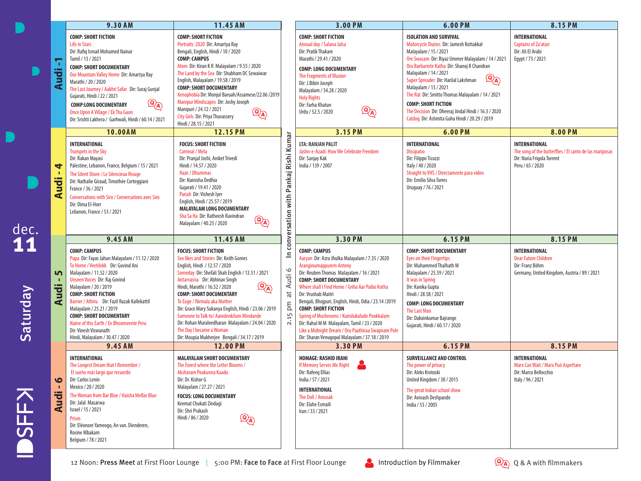|                              |                                  | <b>9.30 AM</b>                                                                                                                                                                                                                                                                                                                                                                                                                                                     | 11.45 AM                                                                                                                                                                                                                                                                                                                                                                                                                                                                                                                                                          |                                               | 3.00 PM                                                                                                                                                                                                                                                                                                                                                                                                                                                                                                                                                       | 6.00 PM                                                                                                                                                                                                                                                                                                                                                                                                                                                                                                       | 8.15 PM                                                                                                                           |
|------------------------------|----------------------------------|--------------------------------------------------------------------------------------------------------------------------------------------------------------------------------------------------------------------------------------------------------------------------------------------------------------------------------------------------------------------------------------------------------------------------------------------------------------------|-------------------------------------------------------------------------------------------------------------------------------------------------------------------------------------------------------------------------------------------------------------------------------------------------------------------------------------------------------------------------------------------------------------------------------------------------------------------------------------------------------------------------------------------------------------------|-----------------------------------------------|---------------------------------------------------------------------------------------------------------------------------------------------------------------------------------------------------------------------------------------------------------------------------------------------------------------------------------------------------------------------------------------------------------------------------------------------------------------------------------------------------------------------------------------------------------------|---------------------------------------------------------------------------------------------------------------------------------------------------------------------------------------------------------------------------------------------------------------------------------------------------------------------------------------------------------------------------------------------------------------------------------------------------------------------------------------------------------------|-----------------------------------------------------------------------------------------------------------------------------------|
|                              | $\blacksquare$<br>jpn<br>⋖       | <b>COMP: SHORT FICTION</b><br><b>Life in Stars</b><br>Dir: Rafiq Ismail Mohamed Nainar<br>Tamil / 13 / 2021<br><b>COMP: SHORT DOCUMENTARY</b><br>Our Mountain Valley Home Dir: Amartya Ray<br>Marathi / 20 / 2020<br>The Last Journey / Aakhri Safar Dir: Suraj Gunjal<br>Gujarati, Hindi / 22 / 2021<br>$\mathbb{Q}_{\overline{A}}$<br><b>COMP:LONG DOCUMENTARY</b><br>Once Upon A Village / Ek Tha Gaon<br>Dir: Srishti Lakhera / Garhwali, Hindi / 60.14 / 2021 | <b>COMP: SHORT FICTION</b><br>Portraits: 2020 Dir: Amartya Ray<br>Bengali, English, Hindi / 10 / 2020<br><b>COMP: CAMPUS</b><br>Atom Dir: Kiran KR Malayalam / 9.55 / 2020<br>The Land by the Sea Dir: Shubham DC Sewaiwar<br>English, Malayalam / 19.58 / 2019<br><b>COMP: SHORT DOCUMENTARY</b><br>Xenophobia Dir: Monjul Baruah/Assamese/22.06 /2019<br>Manipur Mindscapes Dir: Joshy Joseph<br>Manipuri / 24.12 / 2021<br>$\mathbb{Q}_{\overline{A}}$<br>City Girls Dir: Priya Thuvassery<br>Hindi / 28.15 / 2021                                             |                                               | <b>COMP: SHORT FICTION</b><br>Annual day / Salana Jalsa<br>Dir: Pratik Thakare<br>Marathi / 29.41 / 2020<br><b>COMP: LONG DOCUMENTARY</b><br>The Fragments of Illusion<br>Dir: J.Bibin Joseph<br>Malayalam / 54.28 / 2020<br><b>Holy Rights</b><br>Dir: Farha Khatun<br>$\mathbb{Q}_{\overline{A}}$<br>Urdu / 52.5 / 2020                                                                                                                                                                                                                                     | <b>ISOLATION AND SURVIVAL</b><br>Motorcycle Diaries Dir: Jamesh Kottakkal<br>Malayalam / 15 / 2021<br>Ore Swasam Dir: Riyaz Ummer Malayalam / 14 / 2021<br>Oru Barbarinte Katha Dir: Shanoj R Chandran<br>Malayalam / 14 / 2021<br>$\mathbb{Q}_A$<br>Super Spreader Dir: Harilal Lakshman<br>Malayalam / 13 / 2021<br>The Rat Dir: Smitto Thomas Malayalam / 14 / 2021<br><b>COMP: SHORT FICTION</b><br>The Decision Dir: Dheeraj Jindal Hindi / 16.3 / 2020<br>Catdog Dir: Ashmita Guha Hindi / 20.29 / 2019 | <b>INTERNATIONAL</b><br><b>Captains of Za'atari</b><br>Dir: Ali El Arabi<br>Egypt / 73 / 2021                                     |
|                              |                                  | <b>10.00AM</b>                                                                                                                                                                                                                                                                                                                                                                                                                                                     | 12.15 PM                                                                                                                                                                                                                                                                                                                                                                                                                                                                                                                                                          | ă                                             | 3.15 PM                                                                                                                                                                                                                                                                                                                                                                                                                                                                                                                                                       | 6.00 PM                                                                                                                                                                                                                                                                                                                                                                                                                                                                                                       | 8.00 PM                                                                                                                           |
| dec.                         | 4<br>$\ddot{\vec{B}}$<br>⋖       | INTERNATIONAL<br><b>Trumpets in the Sky</b><br>Dir: Rakan Mayasi<br>Palestine, Lebanon, France, Belgium / 15 / 2021<br>The Silent Shore / Le Silencieux Rivage<br>Dir: Nathalie Giraud, Timothée Corteggiani<br>France / 36 / 2021<br>Conversations with Siro / Conversations avec Siro<br>Dir: Dima El-Horr<br>Lebanon, France / 53 / 2021                                                                                                                        | <b>FOCUS: SHORT FICTION</b><br>Carnival / Mela<br>Dir: Pranjal Joshi, Aniket Trivedi<br>Hindi / 14.57 / 2020<br>Haze / Dhummas<br>Dir: Nainisha Dedhia<br>Gujarati / 19.41 / 2020<br>Pariah Dir: Vishesh Iyer<br>English, Hindi / 25.57 / 2019<br><b>MALAYALAM LONG DOCUMENTARY</b><br>Sha Sa Ha Dir: Ratheesh Ravindran<br>$\mathbb{Q}_{\overline{A}}$<br>Malayalam / 40.25 / 2020                                                                                                                                                                               | Kum<br>Rishi<br>conversation with Pankaj      | <b>LTA: RANJAN PALIT</b><br>Jashn-e-Azadi: How We Celebrate Freedom<br>Dir: Sanjay Kak<br>India / 139 / 2007                                                                                                                                                                                                                                                                                                                                                                                                                                                  | <b>INTERNATIONAL</b><br><b>Dissipatio</b><br>Dir: Filippo Ticozzi<br>Italy / 40 / 2020<br><b>Straight to VHS / Directamente para video</b><br>Dir: Emilio Silva Torres<br>Uruguay / 76 / 2021                                                                                                                                                                                                                                                                                                                 | <b>INTERNATIONAL</b><br>The song of the butterflies / El canto de las mariposas<br>Dir: Nuria Frigola Torrent<br>Peru / 65 / 2020 |
| 11                           |                                  | 9.45 AM                                                                                                                                                                                                                                                                                                                                                                                                                                                            | 11.45 AM                                                                                                                                                                                                                                                                                                                                                                                                                                                                                                                                                          |                                               | 3.30 PM                                                                                                                                                                                                                                                                                                                                                                                                                                                                                                                                                       | 6.15 PM                                                                                                                                                                                                                                                                                                                                                                                                                                                                                                       | 8.15 PM                                                                                                                           |
| Saturday                     | 5<br>İph<br>$\blacktriangleleft$ | <b>COMP: CAMPUS</b><br>Pupa Dir: Fayas Jahan Malayalam / 11.12 / 2020<br>To Home / Veetilekk Dir: Govind Ani<br>Malayalam / 11.52 / 2020<br>Unseen Voices Dir: Raj Govind<br>Malayalam / 20 / 2019<br><b>COMP: SHORT FICTION</b><br>Barrier / Athiru Dir: Fazil Razak Kallekattil<br>Malayalam / 25.21 / 2019<br><b>COMP: SHORT DOCUMENTARY</b><br>Name of this Earth / Ee Bhoomeente Peru<br>Dir: Vinesh Viswanath<br>Hindi, Malayalam / 30.47 / 2020             | <b>FOCUS: SHORT FICTION</b><br>Sex likes and Stories Dir: Keith Gomes<br>English, Hindi / 12.57 / 2020<br>Someday Dir: Shefali Shah English / 13.51 / 2021<br>Antarvasna Dir: Abhinav Singh<br>$\mathcal{Q}_\mathsf{A}$<br>Hindi, Marathi / 16.52 / 2020<br><b>COMP: SHORT DOCUMENTARY</b><br>To Euge / Nirmala aka Mother<br>Dir: Grace Mary Sukanya English, Hindi / 23.06 / 2019<br>Someone to Talk to/ Aarodenkilum Mindande<br>Dir: Rohan Muraleedharan Malayalam / 24.04 / 2020<br>The Day I became a Woman<br>Dir: Moupia Mukherjee Bengali / 34.17 / 2019 | $\equiv$<br>Audi 6<br>$\vec{a}$<br>md<br>2.15 | <b>COMP: CAMPUS</b><br>Aaryan Dir: Azra Jhulka Malayalam / 7.35 / 2020<br><b>Aranginumappurem Antony</b><br>Dir: Reuben Thomas Malayalam / 16 / 2021<br><b>COMP: SHORT DOCUMENTARY</b><br>Where shall I Find Home / Griha Aar Paibo Kotha<br>Dir: Vrushab Maitri<br>Bengali, Bhojpuri, English, Hindi, Odia / 23.14/2019<br><b>COMP: SHORT FICTION</b><br>Spring of Mushrooms / Kumilukalude Pookkalam<br>Dir: Rahul M M Malayalam, Tamil / 23 / 2020<br>Like a Midnight Dream / Oru Paathiraa Swapnam Pole<br>Dir: Sharan Venugopal Malayalam / 37.18 / 2019 | <b>COMP: SHORT DOCUMENTARY</b><br><b>Eyes on their Fingertips</b><br>Dir: Muhammed Thalhath M<br>Malayalam / 25.59 / 2021<br>It was in Spring<br>Dir: Kanika Gupta<br>Hindi / 28.58 / 2021<br><b>COMP: LONG DOCUMENTARY</b><br><b>The Last Man</b><br>Dir: Dakxinkumar Bajrange<br>Gujarati, Hindi / 60.17 / 2020                                                                                                                                                                                             | <b>INTERNATIONAL</b><br><b>Dear Future Children</b><br>Dir: Franz Böhm<br>Germany, United Kingdom, Austria / 89 / 2021            |
|                              |                                  | 9.45 AM                                                                                                                                                                                                                                                                                                                                                                                                                                                            | <b>12.00 PM</b>                                                                                                                                                                                                                                                                                                                                                                                                                                                                                                                                                   |                                               | 3.30 PM                                                                                                                                                                                                                                                                                                                                                                                                                                                                                                                                                       | 6.15 PM                                                                                                                                                                                                                                                                                                                                                                                                                                                                                                       | 8.15 PM                                                                                                                           |
| Ê<br>$\overline{\mathbf{S}}$ | ᇃ<br>$\blacktriangleleft$        | INTERNATIONAL<br>The Longest Dream that I Remember /<br>El sueño más largo que recuerdo<br>Dir: Carlos Lenin<br>Mexico / 20 / 2020<br>The Woman from Bar Blue / Haisha MeBar Blue<br>Dir: Jalal Masarwa<br>Israel / 15 / 2021<br>Prism<br>Dir: Eléonore Yameogo, An van. Dienderen,<br><b>Rosine Mbakam</b><br>Belgium / 78 / 2021                                                                                                                                 | <b>MALAYALAM SHORT DOCUMENTARY</b><br>The Forest where the Letter Blooms /<br>Aksharam Pookunna Kaadu<br>Dir: Dr. Kishor G<br>Malayalam / 27.27 / 2021<br><b>FOCUS: LONG DOCUMENTARY</b><br>Keemat Chukati Zindagi<br>Dir: Shri Prakash<br>Hindi / 86 / 2020<br>$\mathbb{Q}_{\overline{A}}$                                                                                                                                                                                                                                                                       |                                               | <b>HOMAGE: RASHID IRANI</b><br>If Memory Serves Me Right<br>Dir: Rafeeg Ellias<br>India / 57 / 2021<br><b>INTERNATIONAL</b><br>The Doll / Arousak<br>Dir: Elahe Esmaili<br>Iran / 33 / 2021                                                                                                                                                                                                                                                                                                                                                                   | <b>SURVEILLANCE AND CONTROL</b><br>The power of privacy<br>Dir: Aleks Krotoski<br>United Kingdom / 30 / 2015<br>The great Indian school show<br>Dir: Avinash Deshpande<br>India / 53 / 2005                                                                                                                                                                                                                                                                                                                   | <b>INTERNATIONAL</b><br>Marx Can Wait / Marx Può Aspettare<br>Dir: Marco Bellocchio<br>Italy / 96 / 2021                          |
|                              |                                  |                                                                                                                                                                                                                                                                                                                                                                                                                                                                    | 12 Noone Proce Moot at First Floor Lounge Luis and PM. Face to Face at First Floor Lounge                                                                                                                                                                                                                                                                                                                                                                                                                                                                         |                                               |                                                                                                                                                                                                                                                                                                                                                                                                                                                                                                                                                               | Introduction by Eilmmaker                                                                                                                                                                                                                                                                                                                                                                                                                                                                                     | $0 \rightarrow 0$ $0 \rightarrow$ with filmmakers                                                                                 |

 $\blacksquare$ 

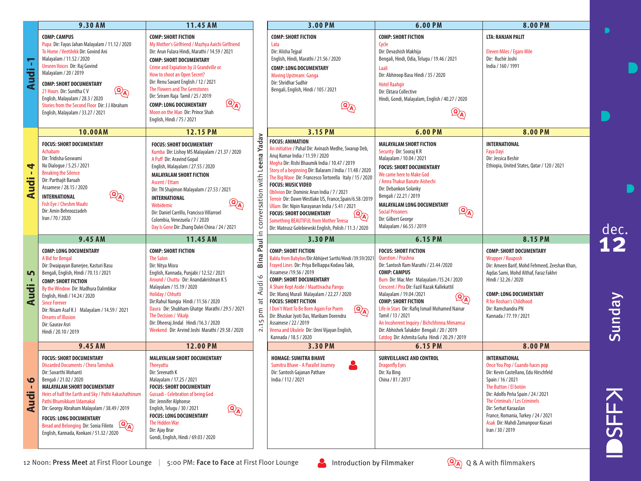|                                                 | 9.30 AM                                                                                                                                                                                                                                                                                                                                                                                                                                                                    | 11.45 AM                                                                                                                                                                                                                                                                                                                                                                                                                                                                                       |                                                    | 3.00 PM                                                                                                                                                                                                                                                                                                                                                                                                                                                                                                                                                                                                                             | 6.00 PM                                                                                                                                                                                                                                                                                                                                                                                                                                                                                                                             | 8.00 PM                                                                                                                                                                                                                                                                                                                                        |                                                    |
|-------------------------------------------------|----------------------------------------------------------------------------------------------------------------------------------------------------------------------------------------------------------------------------------------------------------------------------------------------------------------------------------------------------------------------------------------------------------------------------------------------------------------------------|------------------------------------------------------------------------------------------------------------------------------------------------------------------------------------------------------------------------------------------------------------------------------------------------------------------------------------------------------------------------------------------------------------------------------------------------------------------------------------------------|----------------------------------------------------|-------------------------------------------------------------------------------------------------------------------------------------------------------------------------------------------------------------------------------------------------------------------------------------------------------------------------------------------------------------------------------------------------------------------------------------------------------------------------------------------------------------------------------------------------------------------------------------------------------------------------------------|-------------------------------------------------------------------------------------------------------------------------------------------------------------------------------------------------------------------------------------------------------------------------------------------------------------------------------------------------------------------------------------------------------------------------------------------------------------------------------------------------------------------------------------|------------------------------------------------------------------------------------------------------------------------------------------------------------------------------------------------------------------------------------------------------------------------------------------------------------------------------------------------|----------------------------------------------------|
| $\overline{\phantom{0}}$<br>- 11<br><b>Audi</b> | <b>COMP: CAMPUS</b><br>Pupa Dir: Fayas Jahan Malayalam / 11.12 / 2020<br>To Home / Veetilekk Dir: Govind Ani<br>Malayalam / 11.52 / 2020<br>Unseen Voices Dir: Raj Govind<br>Malayalam / 20 / 2019<br><b>COMP: SHORT DOCUMENTARY</b><br>$\mathbb{Q}_{\overline{A}}$<br>21 Hours Dir: Sunitha CV<br>English, Malayalam / 28.3 / 2020<br>Stories from the Second Floor Dir: J J Abraham<br>English, Malayalam / 33.27 / 2021                                                 | <b>COMP: SHORT FICTION</b><br>My Mother's Girlfriend / Mazhya Aaichi Girlfriend<br>Dir: Arun Fulara Hindi, Marathi / 14.59 / 2021<br><b>COMP: SHORT DOCUMENTARY</b><br>Crime and Expiation by JJ Grandville or<br>How to shoot an Open Secret?<br>Dir: Renu Savant English / 12 / 2021<br>The Flowers and The Gemstones<br>Dir: Sriram Raja Tamil / 25 / 2019<br>$\mathcal{Q}_{\mathbf{A}}$<br><b>COMP: LONG DOCUMENTARY</b><br>Moon on the Man Dir: Prince Shah<br>English, Hindi / 75 / 2021 |                                                    | <b>COMP: SHORT FICTION</b><br>Lata<br>Dir: Alisha Tejpal<br>English, Hindi, Marathi / 21.56 / 2020<br><b>COMP: LONG DOCUMENTARY</b><br>Moving Upstream: Ganga<br>Dir: Shridhar Sudhir<br>Bengali, English, Hindi / 105 / 2021<br>$\mathbb{Q}_{\overline{A}}$                                                                                                                                                                                                                                                                                                                                                                        | <b>COMP: SHORT FICTION</b><br>Cycle<br>Dir: Devashish Makhija<br>Bengali, Hindi, Odia, Telugu / 19.46 / 2021<br>Laali<br>Dir: Abhiroop Basu Hindi / 35 / 2020<br><b>Hotel Raahgir</b><br>Dir: Ektara Collective<br>Hindi, Gondi, Malayalam, English / 40.27 / 2020                                                                                                                                                                                                                                                                  | <b>LTA: RANJAN PALIT</b><br>Eleven Miles / Egaro Mile<br>Dir: Ruchir Joshi<br>India / 160 / 1991                                                                                                                                                                                                                                               |                                                    |
|                                                 | <b>10.00AM</b>                                                                                                                                                                                                                                                                                                                                                                                                                                                             | <b>12.15 PM</b>                                                                                                                                                                                                                                                                                                                                                                                                                                                                                |                                                    | 3.15 PM                                                                                                                                                                                                                                                                                                                                                                                                                                                                                                                                                                                                                             | 6.00 PM                                                                                                                                                                                                                                                                                                                                                                                                                                                                                                                             | <b>8.00 PM</b>                                                                                                                                                                                                                                                                                                                                 |                                                    |
| 4<br>$\mathbf{I}$<br><b>Audi</b>                | <b>FOCUS: SHORT DOCUMENTARY</b><br>Achabam<br>Dir: Tridisha Goswami<br>No Dialogue / 5.25 / 2021<br><b>Breaking the Silence</b><br>Dir: Parthajit Baruah<br>Assamese / 28.15 / 2020<br>$\mathcal{Q}_{\!\mathbf{A}\!)}$<br><b>INTERNATIONAL</b><br>Fish Eye / Cheshm Maahi<br>Dir: Amin Behroozzadeh<br>Iran / 70 / 2020                                                                                                                                                    | <b>FOCUS: SHORT DOCUMENTARY</b><br>Kumba Dir: Lishoy MS Malayalam / 21.37 / 2020<br>A Puff Dir: Aravind Gopal<br>English, Malayalam / 27.55 / 2020<br><b>MALAYALAM SHORT FICTION</b><br><b>Ascent / Ettam</b><br>Dir: TN Shajimon Malayalam / 27.53 / 2021<br><b>INTERNATIONAL</b><br>$\mathbb{Q}_{\overline{A}}$<br>Webidemic<br>Dir: Daniel Carrillo, Francisco Villarroel<br>Colombia, Venezuela / 7 / 2020<br>Day Is Gone Dir: Zhang Dalei China / 24 / 2021                               | Yadav<br>Leena<br>with<br>conversation             | <b>FOCUS: ANIMATION</b><br>An initiative / Pahal Dir: Avinash Medhe, Swarup Deb,<br>Anuj Kumar India / 11.59 / 2020<br>Megha Dir: Rishi Bhaumik India / 10.47 / 2019<br>Story of a beginning Dir: Balaram J India / 11.48 / 2020<br>The Big Wave Dir: Francesco Tortorella Italy / 15 / 2020<br><b>FOCUS: MUSIC VIDEO</b><br>Oblivion Dir: Dominic Arun India / 7 / 2021<br>Terroir Dir: Dawn Westlake US, France, Spain/6.58 /2019<br>Ullam Dir: Nipin Narayanan India / 5.41 / 2021<br><b>FOCUS: SHORT DOCUMENTARY</b><br><b>Something BEAUTIFUL from Mother Teresa</b><br>Dir: Mateusz Golebiewski English, Polish / 11.3 / 2020 | <b>MALAYALAM SHORT FICTION</b><br>Security Dir: Sooraj KR<br>Malayalam / 10.04 / 2021<br><b>FOCUS: SHORT DOCUMENTARY</b><br>We came here to Make God<br>/ Amra Thakur Banate Aishechi<br>Dir: Debankon Solanky<br>Bengali / 22.21 / 2019<br><b>MALAYALAM LONG DOCUMENTARY</b><br>$\mathbb{Q}_{\overline{A}}$<br><b>Social Prisoners</b><br>Dir: Gilbert George<br>Malayalam / 66.55 / 2019                                                                                                                                          | <b>INTERNATIONAL</b><br><b>Faya Dayi</b><br>Dir: Jessica Beshir<br>Ethiopia, United States, Qatar / 120 / 2021                                                                                                                                                                                                                                 | dec.<br>12                                         |
|                                                 | 9.45 AM                                                                                                                                                                                                                                                                                                                                                                                                                                                                    | 11.45 AM                                                                                                                                                                                                                                                                                                                                                                                                                                                                                       | Paul in                                            | 3.30 PM                                                                                                                                                                                                                                                                                                                                                                                                                                                                                                                                                                                                                             | 6.15 PM                                                                                                                                                                                                                                                                                                                                                                                                                                                                                                                             | 8.15 PM                                                                                                                                                                                                                                                                                                                                        |                                                    |
| <b>LO</b><br>×<br><b>Audi</b>                   | <b>COMP: LONG DOCUMENTARY</b><br>A Bid for Bengal<br>Dir: Dwaipayan Banerjee, Kasturi Basu<br>Bengali, English, Hindi / 70.13 / 2021<br><b>COMP: SHORT FICTION</b><br>By the Window Dir: Madhura Dalimbkar<br>English, Hindi / 14.24 / 2020<br><b>Since Forever</b><br>Dir: Nisam Asaf KJ Malayalam / 14.59 / 2021<br><b>Dreams of Illusion</b><br>Dir: Gaurav Asri<br>Hindi / 20.10 / 2019                                                                                | <b>COMP: SHORT FICTION</b><br><b>The Salon</b><br>Dir: Nitya Misra<br>English, Kannada, Punjabi / 12.52 / 2021<br>Around / Chuttu Dir: Anandakrishnan K S<br>Malayalam / 15.19 / 2020<br>Holiday / Chhutti<br>Dir:Rahul Nangia Hindi / 11.56 / 2020<br>Daura Dir: Shubham Ghatge Marathi / 29.5 / 2021<br>The Decision / Vikalp<br>Dir: Dheeraj Jindal Hindi /16.3 / 2020<br>Weekend Dir: Arvind Joshi Marathi / 29.58 / 2020                                                                  | Bina<br>$\circ$<br>Audi<br>$\vec{a}$<br>md<br>2.15 | <b>COMP: SHORT FICTION</b><br>Bablu from Babylon/Dir:Abhijeet Sarthi/Hindi /39.59/202 <sup>-</sup><br>Frayed Lines Dir: Priya Belliappa Kodava Takk,<br>Assamese /19.56 / 2019<br><b>COMP: SHORT DOCUMENTARY</b><br>A Share Kept Aside / Maattivacha Pangu<br>Dir: Manoj Murali Malayalam / 22.27 / 2020<br><b>FOCUS: SHORT FICTION</b><br>$\mathbb{Q}_{\overline{A}}$<br>Don't Want To Be Born Again For Poem<br>Dir: Bhaskar Jyoti Das, Waribam Dorendra<br>Assamese / 22 / 2019<br>Veena and Ukulele Dir: Unni Vijayan English,<br>Kannada / 18.5 / 2020                                                                         | <b>FOCUS: SHORT FICTION</b><br><b>Question / Prashna</b><br>Dir: Santosh Ram Marathi / 23.44 / 2020<br><b>COMP: CAMPUS</b><br>Burn Dir: Mac Mer Malayalam /15.24 / 2020<br>Crescent / Pira Dir: Fazil Razak Kallekattil<br>Malayalam / 19.04 /2021<br>$\mathcal{Q}_{\mathbb{A}}$<br><b>COMP: SHORT FICTION</b><br>Life in Stars Dir: Rafiq Ismail Mohamed Nainar<br>Tamil / 13 / 2021<br>An Incoherent Inquiry / Bichchhinna Mimamsa<br>Dir: Abhishek Talukder Bengali / 20 / 2019<br>Catdog Dir: Ashmita Guha Hindi / 20.29 / 2019 | <b>COMP: SHORT DOCUMENTARY</b><br>Wrapper / Ruuposh<br>Dir: Ameen Barif, Mohd Fehmeed, Zeeshan Khan,<br>Aqdas Sami, Mohd Althaf, Faraz Fakhri<br>Hindi / 32.26 / 2020<br><b>COMP: LONG DOCUMENTARY</b><br><b>R</b> for Roshan's Childhood<br>Dir: Ramchandra PN<br>Kannada / 77.19 / 2021                                                      | Sunday                                             |
|                                                 | 9.45 AM                                                                                                                                                                                                                                                                                                                                                                                                                                                                    | <b>12.00 PM</b>                                                                                                                                                                                                                                                                                                                                                                                                                                                                                |                                                    | 3.30 PM                                                                                                                                                                                                                                                                                                                                                                                                                                                                                                                                                                                                                             | 6.15 PM                                                                                                                                                                                                                                                                                                                                                                                                                                                                                                                             | 8.00 PM                                                                                                                                                                                                                                                                                                                                        |                                                    |
| 10<br>×<br>Audi                                 | <b>FOCUS: SHORT DOCUMENTARY</b><br><b>Discarded Documents / Chera Tamshuk</b><br>Dir: Suvarthi Mohanti<br>Bengali / 21.02 / 2020<br><b>MALAYALAM SHORT DOCUMENTARY</b><br>Heirs of half the Earth and Sky / Pathi Aakashathinum<br>Pathi Bhumikkum Udamakal<br>Dir: Georgy Abraham Malayalam / 38.49 / 2019<br><b>FOCUS: LONG DOCUMENTARY</b><br>$\mathcal{Q}_{\overline{A}}$<br><b>Bread and Belonging Dir: Sonia Filinto</b><br>English, Kannada, Konkani / 51.32 / 2020 | <b>MALAYALAM SHORT DOCUMENTARY</b><br>Theeyattu<br>Dir: Sreenath K<br>Malayalam / 17.25 / 2021<br><b>FOCUS: SHORT DOCUMENTARY</b><br><b>Gussadi - Celebration of being God</b><br>Dir: Jennifer Alphonse<br>$\mathbb{Q}_{\overline{A}}$<br>English, Telugu / 30 / 2021<br><b>FOCUS: LONG DOCUMENTARY</b><br><b>The Hidden War</b><br>Dir: Ajay Brar<br>Gondi, English, Hindi / 69.03 / 2020                                                                                                    |                                                    | <b>HOMAGE: SUMITRA BHAVE</b><br>≗<br>Sumitra Bhave - A Parallel Journey<br>Dir: Santosh Gajanan Pathare<br>India / 112 / 2021                                                                                                                                                                                                                                                                                                                                                                                                                                                                                                       | <b>SURVEILLANCE AND CONTROL</b><br><b>Dragonfly Eyes</b><br>Dir: Xu Bing<br>China / 81 / 2017                                                                                                                                                                                                                                                                                                                                                                                                                                       | <b>INTERNATIONAL</b><br>Once You Pop / Cuando haces pop<br>Dir: Kevin Castellano, Edu Hirschfeld<br>Spain / 16 / 2021<br>The Button / El botón<br>Dir: Adolfo Peña Spain / 24 / 2021<br>The Criminals / Les Criminels<br>Dir: Serhat Karaaslan<br>France, Romania, Turkey / 24 / 2021<br>Asak Dir: Mahdi Zamanpour Kiasari<br>Iran / 30 / 2019 | $\mathbf{L}$<br>$\overline{\overline{\mathbf{5}}}$ |

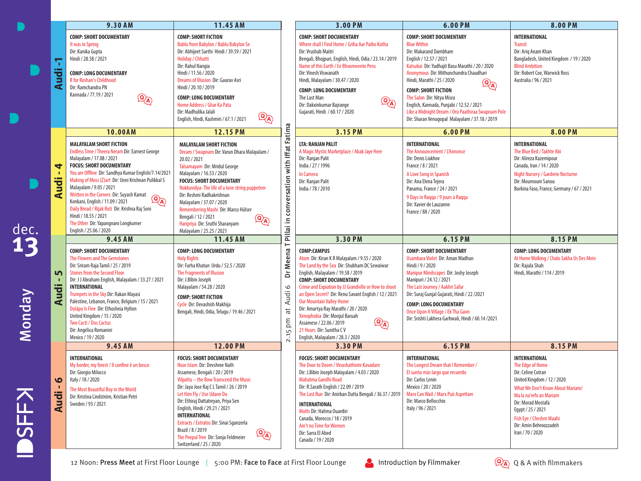|                   |                             | <b>9.30 AM</b>                                                                                                                                                                                                                                                                                                                                                                                                                                                                                                                                              | 11.45 AM                                                                                                                                                                                                                                                                                                                                                                                                                                                                         |                                                  | 3.00 PM                                                                                                                                                                                                                                                                                                                                                                                                                                                                                                                                        | 6.00 PM                                                                                                                                                                                                                                                                                                                                                                                                                                                                            | 8.00 PM                                                                                                                                                                                                                                                                         |
|-------------------|-----------------------------|-------------------------------------------------------------------------------------------------------------------------------------------------------------------------------------------------------------------------------------------------------------------------------------------------------------------------------------------------------------------------------------------------------------------------------------------------------------------------------------------------------------------------------------------------------------|----------------------------------------------------------------------------------------------------------------------------------------------------------------------------------------------------------------------------------------------------------------------------------------------------------------------------------------------------------------------------------------------------------------------------------------------------------------------------------|--------------------------------------------------|------------------------------------------------------------------------------------------------------------------------------------------------------------------------------------------------------------------------------------------------------------------------------------------------------------------------------------------------------------------------------------------------------------------------------------------------------------------------------------------------------------------------------------------------|------------------------------------------------------------------------------------------------------------------------------------------------------------------------------------------------------------------------------------------------------------------------------------------------------------------------------------------------------------------------------------------------------------------------------------------------------------------------------------|---------------------------------------------------------------------------------------------------------------------------------------------------------------------------------------------------------------------------------------------------------------------------------|
|                   | ↽<br><b>Upu</b><br>⋖        | <b>COMP: SHORT DOCUMENTARY</b><br>It was in Spring<br>Dir: Kanika Gupta<br>Hindi / 28.58 / 2021<br><b>COMP: LONG DOCUMENTARY</b><br><b>R</b> for Roshan's Childhood<br>Dir: Ramchandra PN<br>Kannada / 77.19 / 2021<br>$\mathbb{Q}_{\overline{A}}$                                                                                                                                                                                                                                                                                                          | <b>COMP: SHORT FICTION</b><br>Bablu from Babylon / Bablu Babylon Se<br>Dir: Abhijeet Sarthi Hindi / 39.59 / 2021<br>Holiday / Chhutti<br>Dir: Rahul Nangia<br>Hindi / 11.56 / 2020<br>Dreams of Illusion Dir: Gaurav Asri<br>Hindi / 20.10 / 2019<br><b>COMP: LONG DOCUMENTARY</b><br>Home Address / Ghar Ka Pata<br>Dir: Madhulika Jalali<br>$\mathbb{Q}_\mathsf{A}$<br>English, Hindi, Kashmiri / 67.1 / 2021                                                                  |                                                  | <b>COMP: SHORT DOCUMENTARY</b><br>Where shall I Find Home / Griha Aar Paibo Kotha<br>Dir: Vrushab Maitri<br>Bengali, Bhojpuri, English, Hindi, Odia / 23.14 / 2019<br>Name of this Earth / Ee Bhoomeente Peru<br>Dir: Vinesh Viswanath<br>Hindi, Malayalam / 30.47 / 2020<br><b>COMP: LONG DOCUMENTARY</b><br>The Last Man<br>$\mathbb{Q}_{\overline{A}}$<br>Dir: Dakxinkumar Bajrange<br>Gujarati, Hindi / 60.17 / 2020                                                                                                                       | <b>COMP: SHORT DOCUMENTARY</b><br><b>Blue Within</b><br>Dir: Makarand Dambhare<br>English / 12.57 / 2021<br>Kalsubai Dir: Yudhajit Basu Marathi / 20 / 2020<br>Anonymous Dir: Mithunchandra Chaudhari<br>Hindi, Marathi / 25 / 2020<br>$\mathbb{Q}_{\overline{A}}$<br><b>COMP: SHORT FICTION</b><br>The Salon Dir: Nitya Misra<br>English, Kannada, Punjabi / 12.52 / 2021<br>Like a Midnight Dream / Oru Paathiraa Swapnam Pole<br>Dir: Sharan Venugopal Malayalam / 37.18 / 2019 | <b>INTERNATIONAL</b><br><b>Transit</b><br>Dir: Arig Anam Khan<br>Bangladesh, United Kingdom / 19 / 2020<br><b>Blind Ambition</b><br>Dir: Robert Coe, Warwick Ross<br>Australia / 96 / 2021                                                                                      |
|                   |                             | <b>10.00AM</b>                                                                                                                                                                                                                                                                                                                                                                                                                                                                                                                                              | <b>12.15 PM</b>                                                                                                                                                                                                                                                                                                                                                                                                                                                                  | Fatima                                           | 3.15 PM                                                                                                                                                                                                                                                                                                                                                                                                                                                                                                                                        | 6.00 PM                                                                                                                                                                                                                                                                                                                                                                                                                                                                            | <b>8.00 PM</b>                                                                                                                                                                                                                                                                  |
| dec.<br><b>13</b> | 4<br><b>Audi</b>            | <b>MALAYALAM SHORT FICTION</b><br><b>Endless Time / Theera Neram Dir: Earnest George</b><br>Malayalam / 17.08 / 2021<br><b>FOCUS: SHORT DOCUMENTARY</b><br>You are Offline Dir: Sandhya Kumar English/7.14/2021<br>Making of Moss (Z) art Dir: Unni Krishnan Pulikkal S<br>Malayalam / 9.05 / 2021<br>Written in the Corners Dir: Suyash Kamat<br>$\mathbb{Q}_{\overline{A}}$<br>Konkani, English / 11.09 / 2021<br>Daily Bread / Rijak Roti Dir: Krishna Raj Soni<br>Hindi / 18.55 / 2021<br>The Other Dir: Yapangnaro Longkumer<br>English / 25.06 / 2020 | <b>MALAYALAM SHORT FICTION</b><br>Dream / Swapnam Dir: Varun Dhara Malayalam /<br>20.02 / 2021<br>Talsamayam Dir: Mridul George<br>Malayalam / 16.53 / 2020<br><b>FOCUS: SHORT DOCUMENTARY</b><br>Nokkuvidya-The life of a lone string puppeteer<br>Dir: Reshmi Radhakrishnan<br>Malayalam / 37.07 / 2020<br>Remembering Mashi Dir: Marco Hülser<br>Bengali / 12 / 2021<br>$\mathbb{Q}_{\overline{A}}$<br>Haripriya Dir: Sruthi Sharanyam<br>Malayalam / 25.25 / 2021            | conversation with Iffat<br>Pillai in             | <b>LTA: RANJAN PALIT</b><br>A Magic Mystic Marketplace / Abak Jaye Here<br>Dir: Ranjan Palit<br>India / 27 / 1996<br>In Camera<br>Dir: Ranjan Palit<br>India / 78 / 2010                                                                                                                                                                                                                                                                                                                                                                       | <b>INTERNATIONAL</b><br>The Announcement / L'Annonce<br>Dir: Denis Liakhov<br>France / 8 / 2021<br>A Love Song in Spanish<br>Dir: Ana Elena Tejera<br>Panama, France / 24 / 2021<br>9 Days in Ragga / 9 jours à Ragga<br>Dir: Xavier de Lauzanne<br>France / 88 / 2020                                                                                                                                                                                                             | <b>INTERNATIONAL</b><br>The Blue Bed / Takhte Abi<br>Dir: Alireza Kazemipour<br>Canada, Iran / 14 / 2020<br>Night Nursery / Garderie Nocturne<br>Dir: Moumouni Sanou<br>Burkina Faso, France, Germany / 67 / 2021                                                               |
|                   |                             | 9.45 AM                                                                                                                                                                                                                                                                                                                                                                                                                                                                                                                                                     | 11.45 AM                                                                                                                                                                                                                                                                                                                                                                                                                                                                         | $\vdash$                                         | 3.30 PM                                                                                                                                                                                                                                                                                                                                                                                                                                                                                                                                        | 6.15 PM                                                                                                                                                                                                                                                                                                                                                                                                                                                                            | 8.15 PM                                                                                                                                                                                                                                                                         |
| Monday            | <u>ທ</u><br><b>Audi</b>     | <b>COMP: SHORT DOCUMENTARY</b><br>The Flowers and The Gemstones<br>Dir: Sriram Raja Tamil / 25 / 2019<br><b>Stories from the Second Floor</b><br>Dir: J J Abraham English, Malayalam / 33.27 / 2021<br>INTERNATIONAL<br>Trumpets in the Sky Dir: Rakan Mayasi<br>Palestine, Lebanon, France, Belgium / 15 / 2021<br>Dolápo Is Fine Dir: Ethosheia Hylton<br>United Kingdom / 15 / 2020<br>Two Cacti / Dos Cactus<br>Dir: Angélica Romanini<br>Mexico / 19 / 2020                                                                                            | <b>COMP: LONG DOCUMENTARY</b><br><b>Holy Rights</b><br>Dir: Farha Khatun Urdu / 52.5 / 2020<br><b>The Fragments of Illusion</b><br>Dir: J.Bibin Joseph<br>Malayalam / 54.28 / 2020<br><b>COMP: SHORT FICTION</b><br>Cycle Dir: Devashish Makhija<br>Bengali, Hindi, Odia, Telugu / 19.46 / 2021                                                                                                                                                                                  | Meena<br>ă<br>$\circ$<br>Audi<br>đ<br>md<br>2.15 | <b>COMP:CAMPUS</b><br>Atom Dir: Kiran K R Malayalam / 9.55 / 2020<br>The Land by the Sea Dir: Shubham DC Sewaiwar<br>English, Malayalam / 19.58 / 2019<br><b>COMP: SHORT DOCUMENTARY</b><br>Crime and Expiation by JJ Grandville or How to shoot<br>an Open Secret? Dir: Renu Savant English / 12 / 2021<br><b>Our Mountain Valley Home</b><br>Dir: Amartya Ray Marathi / 20 / 2020<br>Xenophobia Dir: Monjul Baruah<br>$\mathbb{Q}_{\overline{A}}$<br>Assamese / 22.06 / 2019<br>21 Hours Dir: Sunitha CV<br>English, Malayalam / 28.3 / 2020 | <b>COMP: SHORT DOCUMENTARY</b><br>Usambara Violet Dir: Aman Wadhan<br>Hindi / 9 / 2020<br>Manipur Mindscapes Dir: Joshy Joseph<br>Manipuri / 24.12 / 2021<br>The Last Journey / Aakhri Safar<br>Dir: Suraj Gunjal Gujarati, Hindi / 22 / 2021<br><b>COMP: LONG DOCUMENTARY</b><br>Once Upon A Village / Ek Tha Gaon<br>Dir: Srishti Lakhera Garhwali, Hindi / 60.14 /2021                                                                                                          | <b>COMP: LONG DOCUMENTARY</b><br>At Home Walking / Chalo Sakha Us Des Mein<br>Dir: Rajula Shah<br>Hindi, Marathi / 114 / 2019                                                                                                                                                   |
|                   |                             | 9.45 AM                                                                                                                                                                                                                                                                                                                                                                                                                                                                                                                                                     | <b>12.00 PM</b>                                                                                                                                                                                                                                                                                                                                                                                                                                                                  |                                                  | 3.30 PM                                                                                                                                                                                                                                                                                                                                                                                                                                                                                                                                        | 6.15 PM                                                                                                                                                                                                                                                                                                                                                                                                                                                                            | 8.15 PM                                                                                                                                                                                                                                                                         |
| 55                | $\bullet$ mm<br><b>Audi</b> | <b>INTERNATIONAL</b><br>My border, my forest / Il confine è un bosco<br>Dir: Giorgio Milocco<br>Italy / 18 / 2020<br>The Most Beautiful Boy in the World<br>Dir: Kristina Lindström, Kristian Petri<br>Sweden / 93 / 2021                                                                                                                                                                                                                                                                                                                                   | <b>FOCUS: SHORT DOCUMENTARY</b><br>Noor Islam Dir: Devshree Nath<br>Assamese, Bengali / 20 / 2019<br>Vilpattu - the Bow Transcend the Music<br>Dir: Jaya Jose Raj CL Tamil / 26 / 2019<br>Let Him Fly / Use Udane Do<br>Dir: Ethiraj Dattatreyan, Priya Sen<br>English, Hindi / 29.21 / 2021<br>INTERNATIONAL<br>Extracts / Extratos Dir: Sinai Sganzerla<br>Brazil / 8 / 2019<br>$\mathbb{Q}_{\overline{A}}$<br>The Peepul Tree Dir: Sonja Feldmeier<br>Switzerland / 25 / 2020 |                                                  | <b>FOCUS: SHORT DOCUMENTARY</b><br>The Door to Doom / Vinashathinte Kavadam<br>Dir: J.Bibin Joseph Malayalam / 4.03 / 2020<br>Mahatma Gandhi Road<br>Dir: R.Sarath English / 22.09 / 2019<br>The Last Run Dir: Anirban Dutta Bengali / 36.37 / 2019<br><b>INTERNATIONAL</b><br>Mutts Dir: Halima Ouardiri<br>Canada, Morocco / 18 / 2019<br>Ain't no Time for Women<br>Dir: Sarra El Abed<br>Canada / 19 / 2020                                                                                                                                | <b>INTERNATIONAL</b><br>The Longest Dream that I Remember /<br>El sueño más largo que recuerdo<br>Dir: Carlos Lenin<br>Mexico / 20 / 2020<br>Marx Can Wait / Marx Può Aspettare<br>Dir: Marco Bellocchio<br>Italy / 96 / 2021                                                                                                                                                                                                                                                      | <b>INTERNATIONAL</b><br>The Edge of Home<br>Dir: Celine Cotran<br>United Kingdom / 12 / 2020<br>What We Don't Know About Mariam/<br>Ma la na'refo an Mariam<br>Dir: Morad Mostafa<br>Egypt / 25 / 2021<br>Fish Eye / Cheshm Maahi<br>Dir: Amin Behroozzadeh<br>Iran / 70 / 2020 |

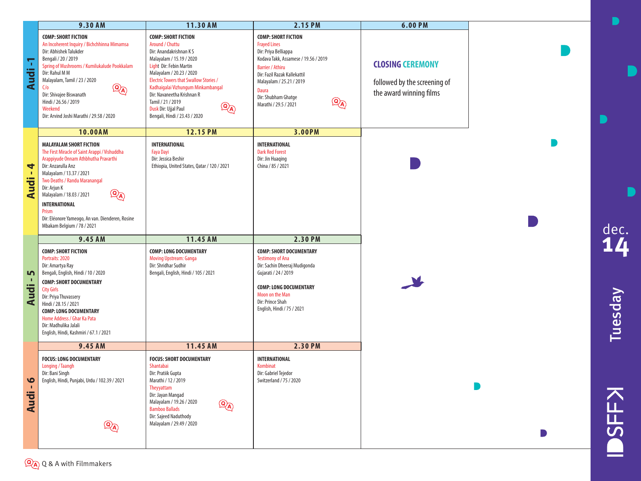|                               | 9.30 AM                                                                                                                                                                                                                                                                                                                                                                                                  | 11.30 AM                                                                                                                                                                                                                                                                                                                                                                                      | 2.15 PM                                                                                                                                                                                                                                                                                          | 6.00 PM                                                                            |                         |
|-------------------------------|----------------------------------------------------------------------------------------------------------------------------------------------------------------------------------------------------------------------------------------------------------------------------------------------------------------------------------------------------------------------------------------------------------|-----------------------------------------------------------------------------------------------------------------------------------------------------------------------------------------------------------------------------------------------------------------------------------------------------------------------------------------------------------------------------------------------|--------------------------------------------------------------------------------------------------------------------------------------------------------------------------------------------------------------------------------------------------------------------------------------------------|------------------------------------------------------------------------------------|-------------------------|
| ٣<br>÷.<br><b>Audi</b>        | <b>COMP: SHORT FICTION</b><br>An Incoherent Inquiry / Bichchhinna Mimamsa<br>Dir: Abhishek Talukder<br>Bengali / 20 / 2019<br>Spring of Mushrooms / Kumilukalude Pookkalam<br>Dir: Rahul M M<br>Malayalam, Tamil / 23 / 2020<br>$\mathbb{Q}_{\overline{A}}$<br>C/O<br>Dir: Shivajee Biswanath<br>Hindi / 26.56 / 2019<br>Weekend<br>Dir: Arvind Joshi Marathi / 29.58 / 2020                             | <b>COMP: SHORT FICTION</b><br>Around / Chuttu<br>Dir: Anandakrishnan K S<br>Malayalam / 15.19 / 2020<br>Light Dir: Febin Martin<br>Malayalam / 20.23 / 2020<br><b>Electric Towers that Swallow Stories /</b><br>Kadhaigalai Vizhungum Minkambangal<br>Dir: Navaneetha Krishnan R<br>Tamil / 21 / 2019<br>$\mathbb{Q}_{\overline{A}}$<br>Dusk Dir: Ujjal Paul<br>Bengali, Hindi / 23.43 / 2020 | <b>COMP: SHORT FICTION</b><br><b>Frayed Lines</b><br>Dir: Priya Belliappa<br>Kodava Takk, Assamese / 19.56 / 2019<br><b>Barrier / Athiru</b><br>Dir: Fazil Razak Kallekattil<br>Malayalam / 25.21 / 2019<br>Daura<br>Dir: Shubham Ghatge<br>$\mathbb{Q}_{\overline{A}}$<br>Marathi / 29.5 / 2021 | <b>CLOSING CEREMONY</b><br>followed by the screening of<br>the award winning films |                         |
|                               | <b>10.00AM</b>                                                                                                                                                                                                                                                                                                                                                                                           | 12.15 PM                                                                                                                                                                                                                                                                                                                                                                                      | 3.00PM                                                                                                                                                                                                                                                                                           |                                                                                    |                         |
| 4<br>п<br><b>Audi</b>         | <b>MALAYALAM SHORT FICTION</b><br>The First Miracle of Saint Arappi / Vishuddha<br>Arappiyude Onnam Athbhutha Pravarthi<br>Dir: Anzarulla Anz<br>Malayalam / 13.37 / 2021<br>Two Deaths / Randu Maranangal<br>Dir: Arjun K<br>$\mathbb{Q}_{\overline{A}}$<br>Malayalam / 18.03 / 2021<br><b>INTERNATIONAL</b><br>Prism<br>Dir: Eléonore Yameogo, An van. Dienderen, Rosine<br>Mbakam Belgium / 78 / 2021 | <b>INTERNATIONAL</b><br><b>Faya Dayi</b><br>Dir: Jessica Beshir<br>Ethiopia, United States, Qatar / 120 / 2021                                                                                                                                                                                                                                                                                | <b>INTERNATIONAL</b><br><b>Dark Red Forest</b><br>Dir: Jin Huaging<br>China / 85 / 2021                                                                                                                                                                                                          |                                                                                    |                         |
|                               | 9.45 AM                                                                                                                                                                                                                                                                                                                                                                                                  | 11.45 AM                                                                                                                                                                                                                                                                                                                                                                                      | 2.30 PM                                                                                                                                                                                                                                                                                          |                                                                                    |                         |
| <b>In</b><br>п<br><b>Audi</b> | <b>COMP: SHORT FICTION</b><br>Portraits: 2020<br>Dir: Amartya Ray<br>Bengali, English, Hindi / 10 / 2020<br><b>COMP: SHORT DOCUMENTARY</b><br><b>City Girls</b><br>Dir: Priya Thuvassery<br>Hindi / 28.15 / 2021<br><b>COMP: LONG DOCUMENTARY</b><br>Home Address / Ghar Ka Pata<br>Dir: Madhulika Jalali<br>English, Hindi, Kashmiri / 67.1 / 2021                                                      | <b>COMP: LONG DOCUMENTARY</b><br>Moving Upstream: Ganga<br>Dir: Shridhar Sudhir<br>Bengali, English, Hindi / 105 / 2021                                                                                                                                                                                                                                                                       | <b>COMP: SHORT DOCUMENTARY</b><br><b>Testimony of Ana</b><br>Dir: Sachin Dheeraj Mudigonda<br>Gujarati / 24 / 2019<br><b>COMP: LONG DOCUMENTARY</b><br>Moon on the Man<br>Dir: Prince Shah<br>English, Hindi / 75 / 2021                                                                         |                                                                                    | dec.<br>$14$<br>Tuesday |
|                               | 9.45 AM                                                                                                                                                                                                                                                                                                                                                                                                  | 11.45 AM                                                                                                                                                                                                                                                                                                                                                                                      | 2.30 PM                                                                                                                                                                                                                                                                                          |                                                                                    |                         |
| л<br><b>Audi</b>              | <b>FOCUS: LONG DOCUMENTARY</b><br><b>Longing / Taangh</b><br>Dir: Bani Singh<br>English, Hindi, Punjabi, Urdu / 102.39 / 2021<br>$\mathbb{Q}_{\overline{A}}$                                                                                                                                                                                                                                             | <b>FOCUS: SHORT DOCUMENTARY</b><br>Shantabai<br>Dir: Pratiik Gupta<br>Marathi / 12 / 2019<br>Theyyattam<br>Dir: Jayan Mangad<br>Malayalam / 19.26 / 2020<br>$\mathbb{Q}_{\overline{A}}$<br><b>Bamboo Ballads</b><br>Dir: Sajeed Naduthody<br>Malayalam / 29.49 / 2020                                                                                                                         | INTERNATIONAL<br>Kombinat<br>Dir: Gabriel Tejedor<br>Switzerland / 75 / 2020                                                                                                                                                                                                                     |                                                                                    | 山<br>50                 |

D

 $\blacksquare$